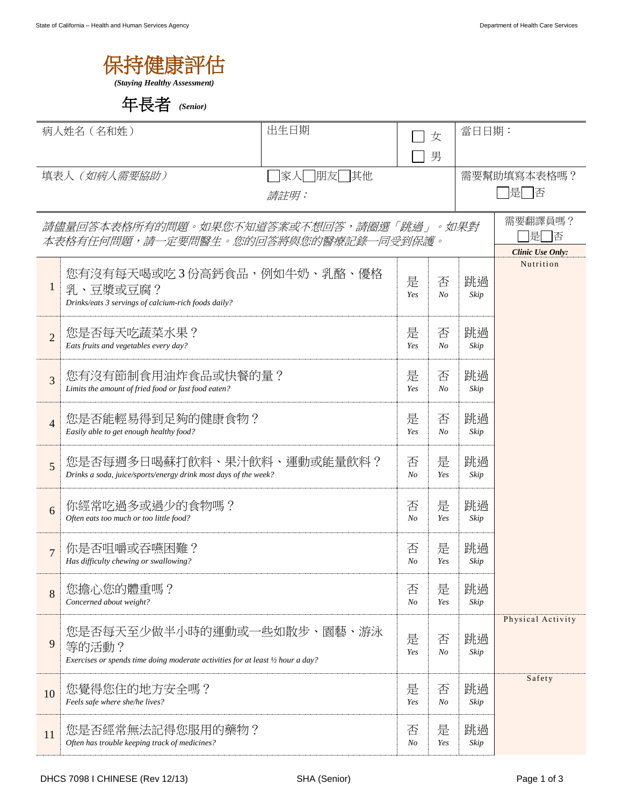| 保持健康評估                       |  |
|------------------------------|--|
| (Staying Healthy Assessment) |  |

年長者 *(Senior)*

|                                      | 病人姓名 (名和姓)                                                                                                             | 出生日期            |          |              | 當日日期:      |                             |
|--------------------------------------|------------------------------------------------------------------------------------------------------------------------|-----------------|----------|--------------|------------|-----------------------------|
|                                      |                                                                                                                        |                 | 女<br>男   |              |            |                             |
|                                      | 填表人 (如病人需要協助)                                                                                                          | 家人   朋友 <br> 其他 |          |              |            | 需要幫助填寫本表格嗎?                 |
|                                      |                                                                                                                        | 請註明:            |          |              |            | ヿ是□否                        |
|                                      | 請儘量回答本表格所有的問題。如果您不知道答案或不想回答,請圈選「跳過」。如果對                                                                                |                 |          |              |            | 需要翻譯員嗎?                     |
| 本表格有任何問題,請一定要問醫生。您的回答將與您的醫療記錄一同受到保護。 |                                                                                                                        |                 |          |              |            | 是<br> 否<br>Clinic Use Only: |
| $\mathbf{1}$                         | 您有沒有每天喝或吃3份高鈣食品,例如牛奶、乳酪、優格<br>乳、豆漿或豆腐?<br>Drinks/eats 3 servings of calcium-rich foods daily?                          |                 | 是<br>Yes | 否<br>$N_{O}$ | 跳過<br>Skip | Nutrition                   |
| $\overline{2}$                       | 您是否每天吃蔬菜水果?<br>Eats fruits and vegetables every day?                                                                   |                 | 是<br>Yes | 否<br>No      | 跳過<br>Skip |                             |
| 3                                    | 您有沒有節制食用油炸食品或快餐的量?<br>Limits the amount of fried food or fast food eaten?                                              |                 |          |              | 跳過<br>Skip |                             |
| $\overline{4}$                       | 您是否能輕易得到足夠的健康食物?<br>Easily able to get enough healthy food?                                                            |                 | 是<br>Yes | 否<br>$N_{O}$ | 跳過<br>Skip |                             |
| 5                                    | 您是否每週多日喝蘇打飲料、果汁飲料、運動或能量飲料?<br>Drinks a soda, juice/sports/energy drink most days of the week?                          |                 | 否<br>No  | 是<br>Yes     | 跳過<br>Skip |                             |
| 6                                    | 你經常吃過多或過少的食物嗎?<br>Often eats too much or too little food?                                                              |                 | 否<br>No  | 是<br>Yes     | 跳過<br>Skip |                             |
| $\overline{7}$                       | 你是否咀嚼或吞嚥困難?<br>Has difficulty chewing or swallowing?                                                                   |                 | 否<br>No  | 是<br>Yes     | 跳過<br>Skip |                             |
| 8                                    | 您擔心您的體重嗎?<br>Concerned about weight?                                                                                   |                 | 否<br>No  | 是<br>Yes     | 跳過<br>Skip |                             |
| 9                                    | 您是否每天至少做半小時的運動或一些如散步、園藝、游泳<br>等的活動?<br>Exercises or spends time doing moderate activities for at least 1/2 hour a day? |                 | 是<br>Yes | 否<br>No      | 跳過<br>Skip | Physical Activity           |
| 10                                   | 您覺得您住的地方安全嗎?<br>Feels safe where she/he lives?                                                                         |                 | 是<br>Yes | 否<br>No      | 跳過<br>Skip | Safety                      |
| 11                                   | 您是否經常無法記得您服用的藥物?<br>Often has trouble keeping track of medicines?                                                      |                 | 否<br>No  | 是<br>Yes     | 跳過<br>Skip |                             |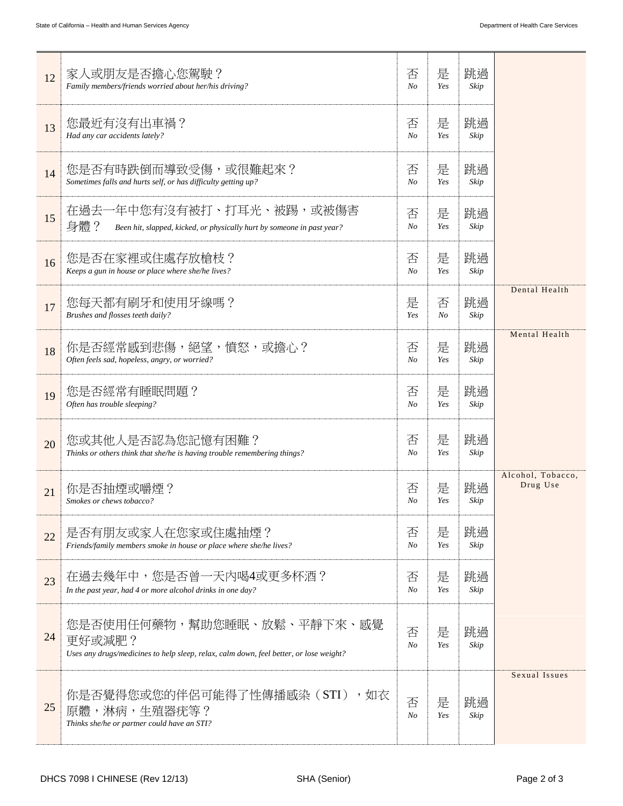| 12 | 家人或朋友是否擔心您駕駛?<br>Family members/friends worried about her/his driving?                                                         | 否<br>N <sub>O</sub> | 是<br>Yes     | 跳過<br>Skip |                               |
|----|--------------------------------------------------------------------------------------------------------------------------------|---------------------|--------------|------------|-------------------------------|
| 13 | 您最近有沒有出車禍?<br>Had any car accidents lately?                                                                                    | 否<br>N <sub>O</sub> | 是<br>Yes     | 跳過<br>Skip |                               |
| 14 | 您是否有時跌倒而導致受傷,或很難起來?<br>Sometimes falls and hurts self, or has difficulty getting up?                                           | 否<br>$N_{O}$        | 是<br>Yes     | 跳過<br>Skip |                               |
| 15 | 在過去一年中您有沒有被打、打耳光、被踢,或被傷害<br>身體?<br>Been hit, slapped, kicked, or physically hurt by someone in past year?                      | 否<br>No             | 是<br>Yes     | 跳過<br>Skip |                               |
| 16 | 您是否在家裡或住處存放槍枝?<br>Keeps a gun in house or place where she/he lives?                                                            | 否<br>N <sub>O</sub> | 是<br>Yes     | 跳過<br>Skip |                               |
| 17 | 您每天都有刷牙和使用牙線嗎?<br>Brushes and flosses teeth daily?                                                                             | 是<br>Yes            | 否<br>$N_{O}$ | 跳過<br>Skip | Dental Health                 |
| 18 | 你是否經常感到悲傷,絕望,憤怒,或擔心?<br>Often feels sad, hopeless, angry, or worried?                                                          | 否<br>$N_{O}$        | 是<br>Yes     | 跳過<br>Skip | Mental Health                 |
| 19 | 您是否經常有睡眠問題?<br>Often has trouble sleeping?                                                                                     | 否<br>N <sub>O</sub> | 是<br>Yes     | 跳過<br>Skip |                               |
| 20 | 您或其他人是否認為您記憶有困難?<br>Thinks or others think that she/he is having trouble remembering things?                                   | 否<br>$N_{O}$        | 是<br>Yes     | 跳過<br>Skip |                               |
| 21 | 你是否抽煙或嚼煙?<br>Smokes or chews tobacco?                                                                                          | 否<br>No             | 是<br>Yes     | 跳過<br>Skip | Alcohol, Tobacco,<br>Drug Use |
| 22 | 是否有朋友或家人在您家或住處抽煙?<br>Friends/family members smoke in house or place where she/he lives?                                        | 否<br>N <sub>O</sub> | 是<br>Yes     | 跳過<br>Skip |                               |
| 23 | 在過去幾年中,您是否曾一天內喝4或更多杯酒?<br>In the past year, had 4 or more alcohol drinks in one day?                                           | 否<br>No             | 是<br>Yes     | 跳過<br>Skip |                               |
| 24 | 您是否使用任何藥物,幫助您睡眠、放鬆、平靜下來、感覺<br>更好或減肥?<br>Uses any drugs/medicines to help sleep, relax, calm down, feel better, or lose weight? | 否<br>$N_{O}$        | 是<br>Yes     | 跳過<br>Skip |                               |
| 25 | 你是否覺得您或您的伴侶可能得了性傳播感染(STI)<br>,如衣<br>原體,淋病,生殖器疣等?<br>Thinks she/he or partner could have an STI?                                | 否<br>$N_{O}$        | 是<br>Yes     | 跳過<br>Skip | Sexual Issues                 |